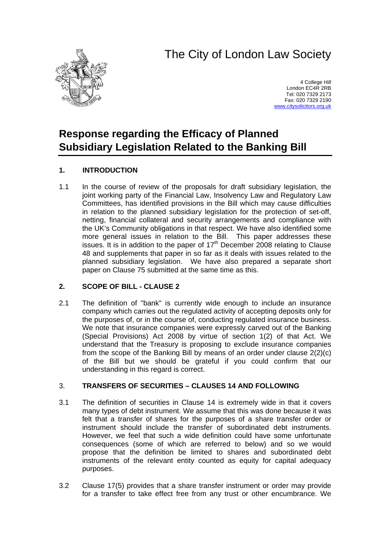# The City of London Law Society



4 College Hill London EC4R 2RB Tel: 020 7329 2173 Fax: 020 7329 2190 [www.citysolicitors.org.uk](http://www.citysolicitors.org.uk/)

# **Response regarding the Efficacy of Planned Subsidiary Legislation Related to the Banking Bill**

# **1. INTRODUCTION**

1.1 In the course of review of the proposals for draft subsidiary legislation, the joint working party of the Financial Law, Insolvency Law and Regulatory Law Committees, has identified provisions in the Bill which may cause difficulties in relation to the planned subsidiary legislation for the protection of set-off, netting, financial collateral and security arrangements and compliance with the UK's Community obligations in that respect. We have also identified some more general issues in relation to the Bill. This paper addresses these issues. It is in addition to the paper of  $17<sup>th</sup>$  December 2008 relating to Clause 48 and supplements that paper in so far as it deals with issues related to the planned subsidiary legislation. We have also prepared a separate short paper on Clause 75 submitted at the same time as this.

# **2. SCOPE OF BILL - CLAUSE 2**

2.1 The definition of "bank" is currently wide enough to include an insurance company which carries out the regulated activity of accepting deposits only for the purposes of, or in the course of, conducting regulated insurance business. We note that insurance companies were expressly carved out of the Banking (Special Provisions) Act 2008 by virtue of section 1(2) of that Act. We understand that the Treasury is proposing to exclude insurance companies from the scope of the Banking Bill by means of an order under clause 2(2)(c) of the Bill but we should be grateful if you could confirm that our understanding in this regard is correct.

# 3. **TRANSFERS OF SECURITIES – CLAUSES 14 AND FOLLOWING**

- 3.1 The definition of securities in Clause 14 is extremely wide in that it covers many types of debt instrument. We assume that this was done because it was felt that a transfer of shares for the purposes of a share transfer order or instrument should include the transfer of subordinated debt instruments. However, we feel that such a wide definition could have some unfortunate consequences (some of which are referred to below) and so we would propose that the definition be limited to shares and subordinated debt instruments of the relevant entity counted as equity for capital adequacy purposes.
- 3.2 Clause 17(5) provides that a share transfer instrument or order may provide for a transfer to take effect free from any trust or other encumbrance. We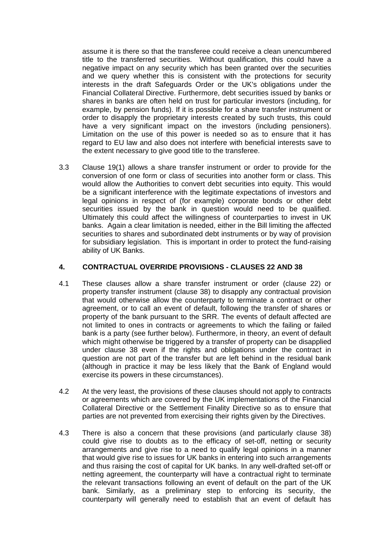assume it is there so that the transferee could receive a clean unencumbered title to the transferred securities. Without qualification, this could have a negative impact on any security which has been granted over the securities and we query whether this is consistent with the protections for security interests in the draft Safeguards Order or the UK's obligations under the Financial Collateral Directive. Furthermore, debt securities issued by banks or shares in banks are often held on trust for particular investors (including, for example, by pension funds). If it is possible for a share transfer instrument or order to disapply the proprietary interests created by such trusts, this could have a very significant impact on the investors (including pensioners). Limitation on the use of this power is needed so as to ensure that it has regard to EU law and also does not interfere with beneficial interests save to the extent necessary to give good title to the transferee.

3.3 Clause 19(1) allows a share transfer instrument or order to provide for the conversion of one form or class of securities into another form or class. This would allow the Authorities to convert debt securities into equity. This would be a significant interference with the legitimate expectations of investors and legal opinions in respect of (for example) corporate bonds or other debt securities issued by the bank in question would need to be qualified. Ultimately this could affect the willingness of counterparties to invest in UK banks. Again a clear limitation is needed, either in the Bill limiting the affected securities to shares and subordinated debt instruments or by way of provision for subsidiary legislation. This is important in order to protect the fund-raising ability of UK Banks.

# **4. CONTRACTUAL OVERRIDE PROVISIONS - CLAUSES 22 AND 38**

- 4.1 These clauses allow a share transfer instrument or order (clause 22) or property transfer instrument (clause 38) to disapply any contractual provision that would otherwise allow the counterparty to terminate a contract or other agreement, or to call an event of default, following the transfer of shares or property of the bank pursuant to the SRR. The events of default affected are not limited to ones in contracts or agreements to which the failing or failed bank is a party (see further below). Furthermore, in theory, an event of default which might otherwise be triggered by a transfer of property can be disapplied under clause 38 even if the rights and obligations under the contract in question are not part of the transfer but are left behind in the residual bank (although in practice it may be less likely that the Bank of England would exercise its powers in these circumstances).
- 4.2 At the very least, the provisions of these clauses should not apply to contracts or agreements which are covered by the UK implementations of the Financial Collateral Directive or the Settlement Finality Directive so as to ensure that parties are not prevented from exercising their rights given by the Directives.
- 4.3 There is also a concern that these provisions (and particularly clause 38) could give rise to doubts as to the efficacy of set-off, netting or security arrangements and give rise to a need to qualify legal opinions in a manner that would give rise to issues for UK banks in entering into such arrangements and thus raising the cost of capital for UK banks. In any well-drafted set-off or netting agreement, the counterparty will have a contractual right to terminate the relevant transactions following an event of default on the part of the UK bank. Similarly, as a preliminary step to enforcing its security, the counterparty will generally need to establish that an event of default has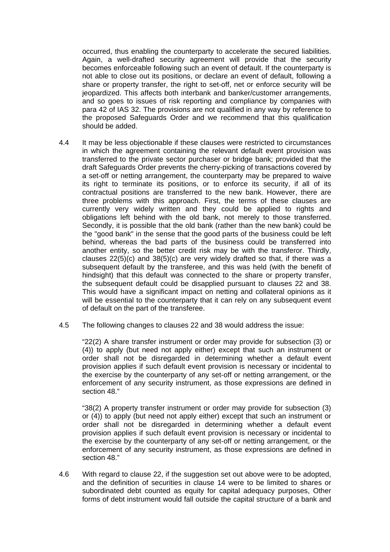occurred, thus enabling the counterparty to accelerate the secured liabilities. Again, a well-drafted security agreement will provide that the security becomes enforceable following such an event of default. If the counterparty is not able to close out its positions, or declare an event of default, following a share or property transfer, the right to set-off, net or enforce security will be jeopardized. This affects both interbank and banker/customer arrangements, and so goes to issues of risk reporting and compliance by companies with para 42 of IAS 32. The provisions are not qualified in any way by reference to the proposed Safeguards Order and we recommend that this qualification should be added.

- 4.4 It may be less objectionable if these clauses were restricted to circumstances in which the agreement containing the relevant default event provision was transferred to the private sector purchaser or bridge bank; provided that the draft Safeguards Order prevents the cherry-picking of transactions covered by a set-off or netting arrangement, the counterparty may be prepared to waive its right to terminate its positions, or to enforce its security, if all of its contractual positions are transferred to the new bank. However, there are three problems with this approach. First, the terms of these clauses are currently very widely written and they could be applied to rights and obligations left behind with the old bank, not merely to those transferred. Secondly, it is possible that the old bank (rather than the new bank) could be the "good bank" in the sense that the good parts of the business could be left behind, whereas the bad parts of the business could be transferred into another entity, so the better credit risk may be with the transferor. Thirdly, clauses 22(5)(c) and 38(5)(c) are very widely drafted so that, if there was a subsequent default by the transferee, and this was held (with the benefit of hindsight) that this default was connected to the share or property transfer, the subsequent default could be disapplied pursuant to clauses 22 and 38. This would have a significant impact on netting and collateral opinions as it will be essential to the counterparty that it can rely on any subsequent event of default on the part of the transferee.
- 4.5 The following changes to clauses 22 and 38 would address the issue:

"22(2) A share transfer instrument or order may provide for subsection (3) or (4)) to apply (but need not apply either) except that such an instrument or order shall not be disregarded in determining whether a default event provision applies if such default event provision is necessary or incidental to the exercise by the counterparty of any set-off or netting arrangement, or the enforcement of any security instrument, as those expressions are defined in section 48."

"38(2) A property transfer instrument or order may provide for subsection (3) or (4)) to apply (but need not apply either) except that such an instrument or order shall not be disregarded in determining whether a default event provision applies if such default event provision is necessary or incidental to the exercise by the counterparty of any set-off or netting arrangement, or the enforcement of any security instrument, as those expressions are defined in section 48."

4.6 With regard to clause 22, if the suggestion set out above were to be adopted, and the definition of securities in clause 14 were to be limited to shares or subordinated debt counted as equity for capital adequacy purposes, Other forms of debt instrument would fall outside the capital structure of a bank and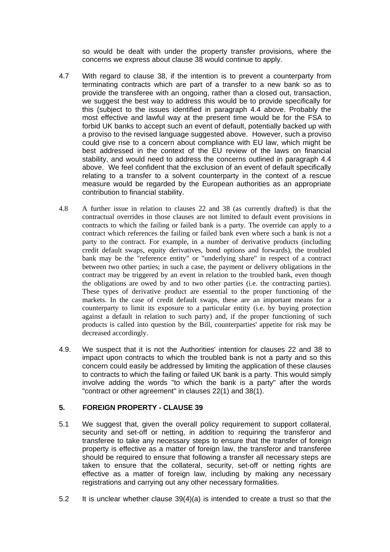so would be dealt with under the property transfer provisions, where the concerns we express about clause 38 would continue to apply.

- 4.7 With regard to clause 38, if the intention is to prevent a counterparty from terminating contracts which are part of a transfer to a new bank so as to provide the transferee with an ongoing, rather than a closed out, transaction, we suggest the best way to address this would be to provide specifically for this (subject to the issues identified in paragraph 4.4 above. Probably the most effective and lawful way at the present time would be for the FSA to forbid UK banks to accept such an event of default, potentially backed up with a proviso to the revised language suggested above. However, such a proviso could give rise to a concern about compliance with EU law, which might be best addressed in the context of the EU review of the laws on financial stability, and would need to address the concerns outlined in paragraph 4.4 above. We feel confident that the exclusion of an event of default specifically relating to a transfer to a solvent counterparty in the context of a rescue measure would be regarded by the European authorities as an appropriate contribution to financial stability.
- 4.8 A further issue in relation to clauses 22 and 38 (as currently drafted) is that the contractual overrides in those clauses are not limited to default event provisions in contracts to which the failing or failed bank is a party. The override can apply to a contract which references the failing or failed bank even where such a bank is not a party to the contract. For example, in a number of derivative products (including credit default swaps, equity derivatives, bond options and forwards), the troubled bank may be the "reference entity" or "underlying share" in respect of a contract between two other parties; in such a case, the payment or delivery obligations in the contract may be triggered by an event in relation to the troubled bank, even though the obligations are owed by and to two other parties (i.e. the contracting parties). These types of derivative product are essential to the proper functioning of the markets. In the case of credit default swaps, these are an important means for a counterparty to limit its exposure to a particular entity (i.e. by buying protection against a default in relation to such party) and, if the proper functioning of such products is called into question by the Bill, counterparties' appetite for risk may be decreased accordingly.
- 4.9. We suspect that it is not the Authorities' intention for clauses 22 and 38 to impact upon contracts to which the troubled bank is not a party and so this concern could easily be addressed by limiting the application of these clauses to contracts to which the failing or failed UK bank is a party. This would simply involve adding the words "to which the bank is a party" after the words "contract or other agreement" in clauses 22(1) and 38(1).

# **5. FOREIGN PROPERTY - CLAUSE 39**

- 5.1 We suggest that, given the overall policy requirement to support collateral, security and set-off or netting, in addition to requiring the transferor and transferee to take any necessary steps to ensure that the transfer of foreign property is effective as a matter of foreign law, the transferor and transferee should be required to ensure that following a transfer all necessary steps are taken to ensure that the collateral, security, set-off or netting rights are effective as a matter of foreign law, including by making any necessary registrations and carrying out any other necessary formalities.
- 5.2 It is unclear whether clause 39(4)(a) is intended to create a trust so that the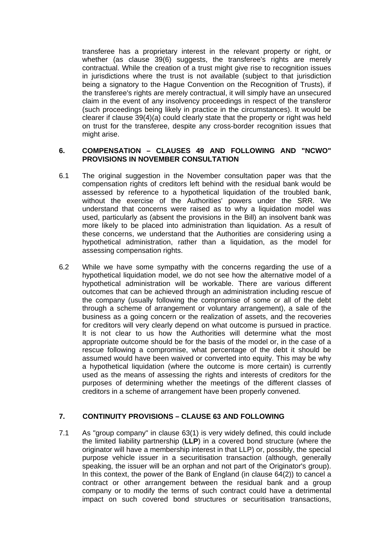transferee has a proprietary interest in the relevant property or right, or whether (as clause 39(6) suggests, the transferee's rights are merely contractual. While the creation of a trust might give rise to recognition issues in jurisdictions where the trust is not available (subject to that jurisdiction being a signatory to the Hague Convention on the Recognition of Trusts), if the transferee's rights are merely contractual, it will simply have an unsecured claim in the event of any insolvency proceedings in respect of the transferor (such proceedings being likely in practice in the circumstances). It would be clearer if clause 39(4)(a) could clearly state that the property or right was held on trust for the transferee, despite any cross-border recognition issues that might arise.

#### **6. COMPENSATION – CLAUSES 49 AND FOLLOWING AND "NCWO" PROVISIONS IN NOVEMBER CONSULTATION**

- 6.1 The original suggestion in the November consultation paper was that the compensation rights of creditors left behind with the residual bank would be assessed by reference to a hypothetical liquidation of the troubled bank, without the exercise of the Authorities' powers under the SRR. We understand that concerns were raised as to why a liquidation model was used, particularly as (absent the provisions in the Bill) an insolvent bank was more likely to be placed into administration than liquidation. As a result of these concerns, we understand that the Authorities are considering using a hypothetical administration, rather than a liquidation, as the model for assessing compensation rights.
- 6.2 While we have some sympathy with the concerns regarding the use of a hypothetical liquidation model, we do not see how the alternative model of a hypothetical administration will be workable. There are various different outcomes that can be achieved through an administration including rescue of the company (usually following the compromise of some or all of the debt through a scheme of arrangement or voluntary arrangement), a sale of the business as a going concern or the realization of assets, and the recoveries for creditors will very clearly depend on what outcome is pursued in practice. It is not clear to us how the Authorities will determine what the most appropriate outcome should be for the basis of the model or, in the case of a rescue following a compromise, what percentage of the debt it should be assumed would have been waived or converted into equity. This may be why a hypothetical liquidation (where the outcome is more certain) is currently used as the means of assessing the rights and interests of creditors for the purposes of determining whether the meetings of the different classes of creditors in a scheme of arrangement have been properly convened.

# **7. CONTINUITY PROVISIONS – CLAUSE 63 AND FOLLOWING**

7.1 As "group company" in clause 63(1) is very widely defined, this could include the limited liability partnership (**LLP**) in a covered bond structure (where the originator will have a membership interest in that LLP) or, possibly, the special purpose vehicle issuer in a securitisation transaction (although, generally speaking, the issuer will be an orphan and not part of the Originator's group). In this context, the power of the Bank of England (in clause 64(2)) to cancel a contract or other arrangement between the residual bank and a group company or to modify the terms of such contract could have a detrimental impact on such covered bond structures or securitisation transactions,